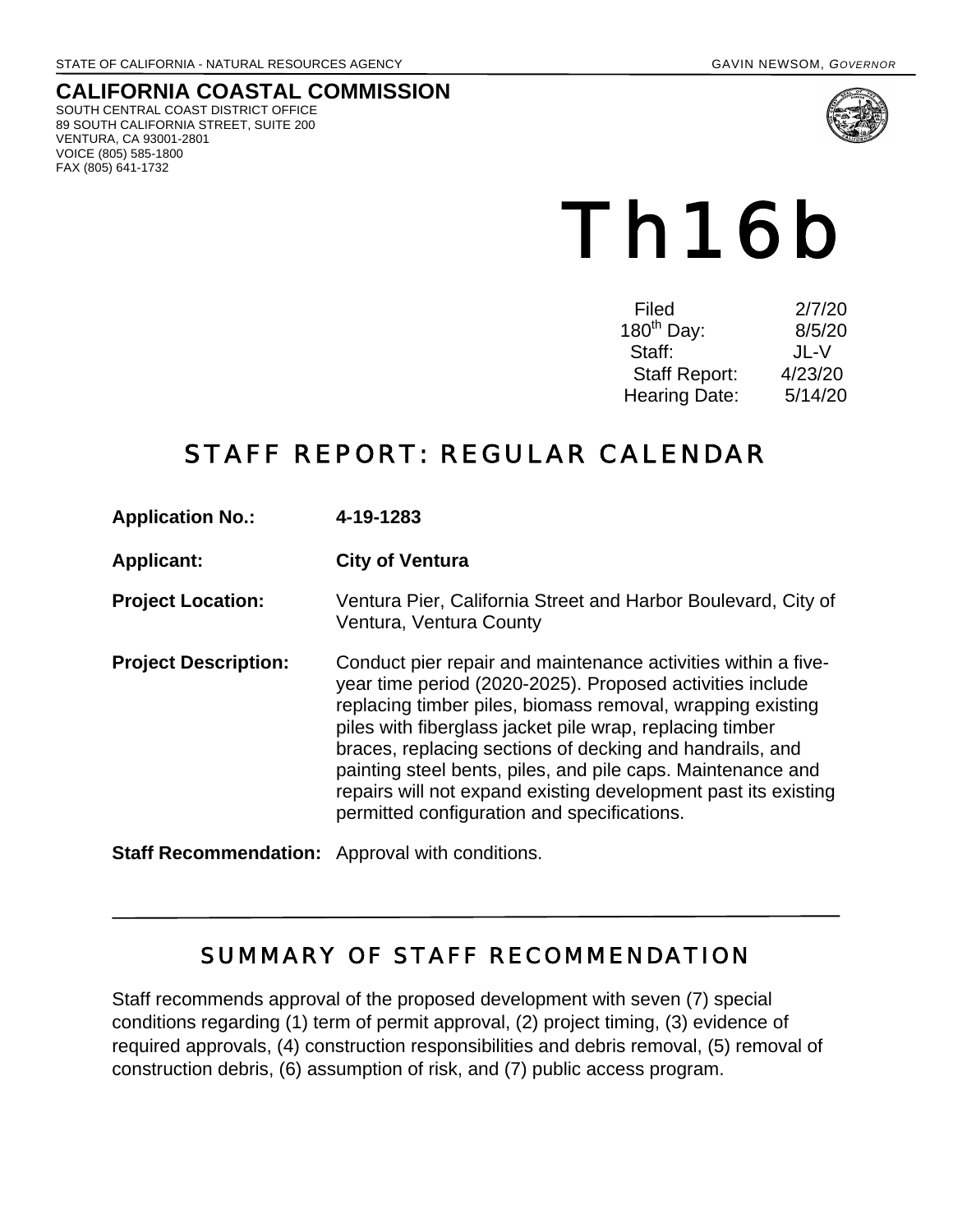## **CALIFORNIA COASTAL COMMISSION**

SOUTH CENTRAL COAST DISTRICT OFFICE 89 SOUTH CALIFORNIA STREET, SUITE 200 VENTURA, CA 93001-2801 VOICE (805) 585-1800 FAX (805) 641-1732



# Th16b

| Filed                | 2/7/20  |
|----------------------|---------|
| $180^{th}$ Day:      | 8/5/20  |
| Staff:               | JL-V    |
| <b>Staff Report:</b> | 4/23/20 |
| <b>Hearing Date:</b> | 5/14/20 |
|                      |         |

# STAFF REPORT: REGULAR CALENDAR

| <b>Application No.:</b> | 4-19-1283 |
|-------------------------|-----------|
|-------------------------|-----------|

**Applicant: City of Ventura**

**Project Location:** Ventura Pier, California Street and Harbor Boulevard, City of Ventura, Ventura County

**Project Description:** Conduct pier repair and maintenance activities within a fiveyear time period (2020-2025). Proposed activities include replacing timber piles, biomass removal, wrapping existing piles with fiberglass jacket pile wrap, replacing timber braces, replacing sections of decking and handrails, and painting steel bents, piles, and pile caps. Maintenance and repairs will not expand existing development past its existing permitted configuration and specifications.

**Staff Recommendation:** Approval with conditions.

## SUMMARY OF STAFF RECOMMENDATION

Staff recommends approval of the proposed development with seven (7) special conditions regarding (1) term of permit approval, (2) project timing, (3) evidence of required approvals, (4) construction responsibilities and debris removal, (5) removal of construction debris, (6) assumption of risk, and (7) public access program.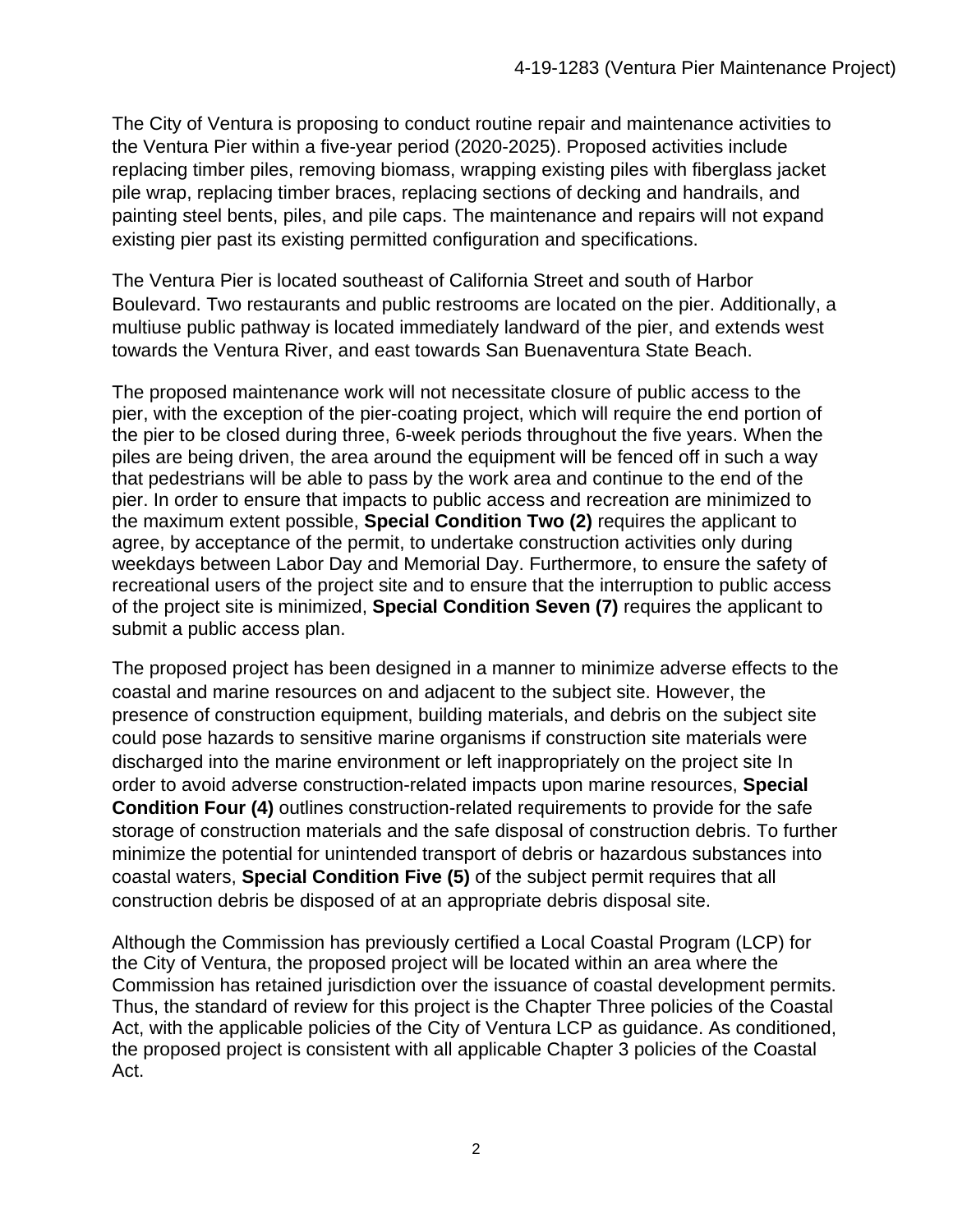The City of Ventura is proposing to conduct routine repair and maintenance activities to the Ventura Pier within a five-year period (2020-2025). Proposed activities include replacing timber piles, removing biomass, wrapping existing piles with fiberglass jacket pile wrap, replacing timber braces, replacing sections of decking and handrails, and painting steel bents, piles, and pile caps. The maintenance and repairs will not expand existing pier past its existing permitted configuration and specifications.

The Ventura Pier is located southeast of California Street and south of Harbor Boulevard. Two restaurants and public restrooms are located on the pier. Additionally, a multiuse public pathway is located immediately landward of the pier, and extends west towards the Ventura River, and east towards San Buenaventura State Beach.

The proposed maintenance work will not necessitate closure of public access to the pier, with the exception of the pier-coating project, which will require the end portion of the pier to be closed during three, 6-week periods throughout the five years. When the piles are being driven, the area around the equipment will be fenced off in such a way that pedestrians will be able to pass by the work area and continue to the end of the pier. In order to ensure that impacts to public access and recreation are minimized to the maximum extent possible, **Special Condition Two (2)** requires the applicant to agree, by acceptance of the permit, to undertake construction activities only during weekdays between Labor Day and Memorial Day. Furthermore, to ensure the safety of recreational users of the project site and to ensure that the interruption to public access of the project site is minimized, **Special Condition Seven (7)** requires the applicant to submit a public access plan.

The proposed project has been designed in a manner to minimize adverse effects to the coastal and marine resources on and adjacent to the subject site. However, the presence of construction equipment, building materials, and debris on the subject site could pose hazards to sensitive marine organisms if construction site materials were discharged into the marine environment or left inappropriately on the project site In order to avoid adverse construction-related impacts upon marine resources, **Special Condition Four (4)** outlines construction-related requirements to provide for the safe storage of construction materials and the safe disposal of construction debris. To further minimize the potential for unintended transport of debris or hazardous substances into coastal waters, **Special Condition Five (5)** of the subject permit requires that all construction debris be disposed of at an appropriate debris disposal site.

Although the Commission has previously certified a Local Coastal Program (LCP) for the City of Ventura, the proposed project will be located within an area where the Commission has retained jurisdiction over the issuance of coastal development permits. Thus, the standard of review for this project is the Chapter Three policies of the Coastal Act, with the applicable policies of the City of Ventura LCP as guidance. As conditioned, the proposed project is consistent with all applicable Chapter 3 policies of the Coastal Act.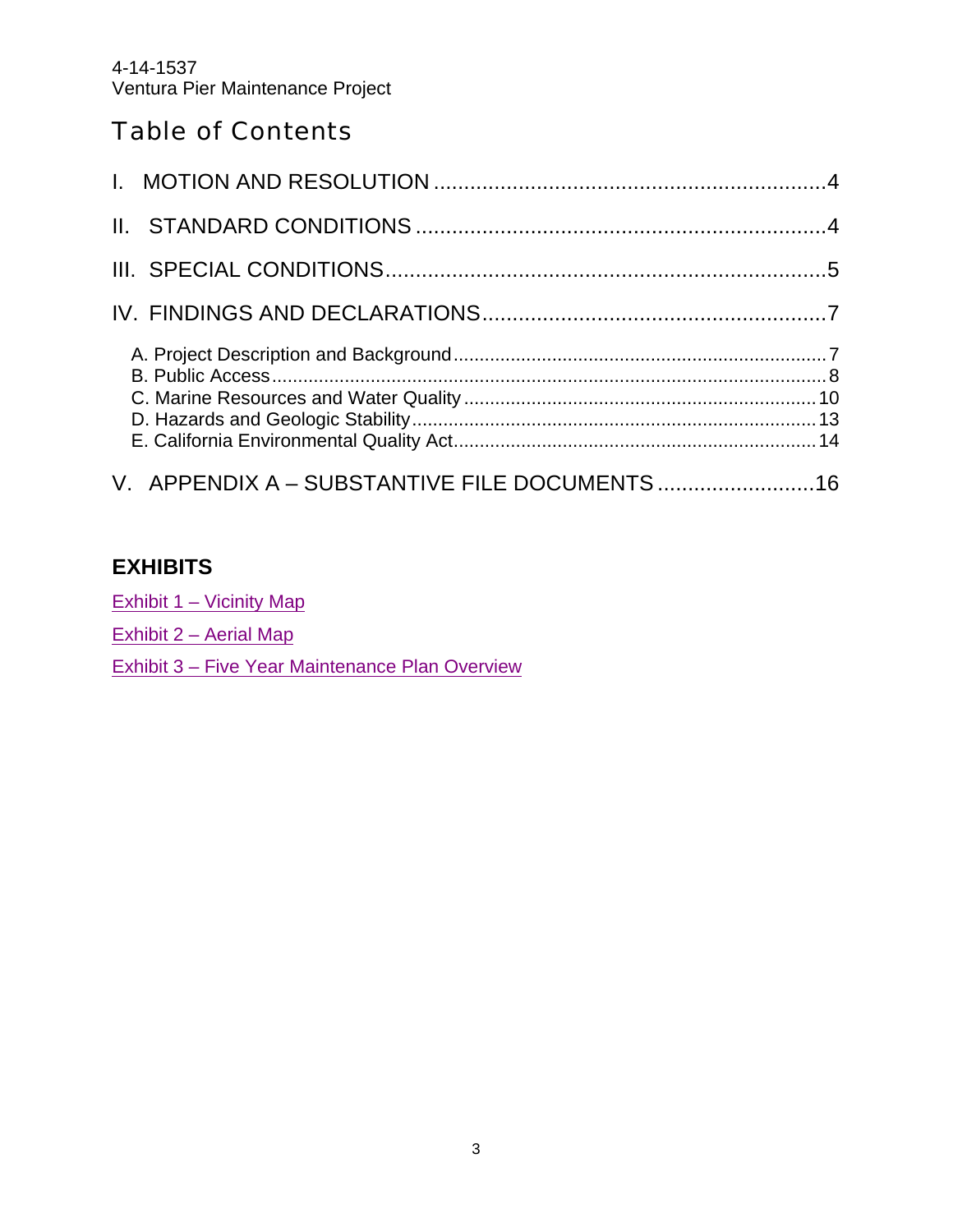4-14-1537 Ventura Pier Maintenance Project

## Table of Contents

| V. APPENDIX A - SUBSTANTIVE FILE DOCUMENTS  16 |  |
|------------------------------------------------|--|

#### **EXHIBITS**

Exhibit 1 – Vicinity Map

Exhibit 2 – Aerial Map

Exhibit 3 – Five Year Maintenance Plan Overview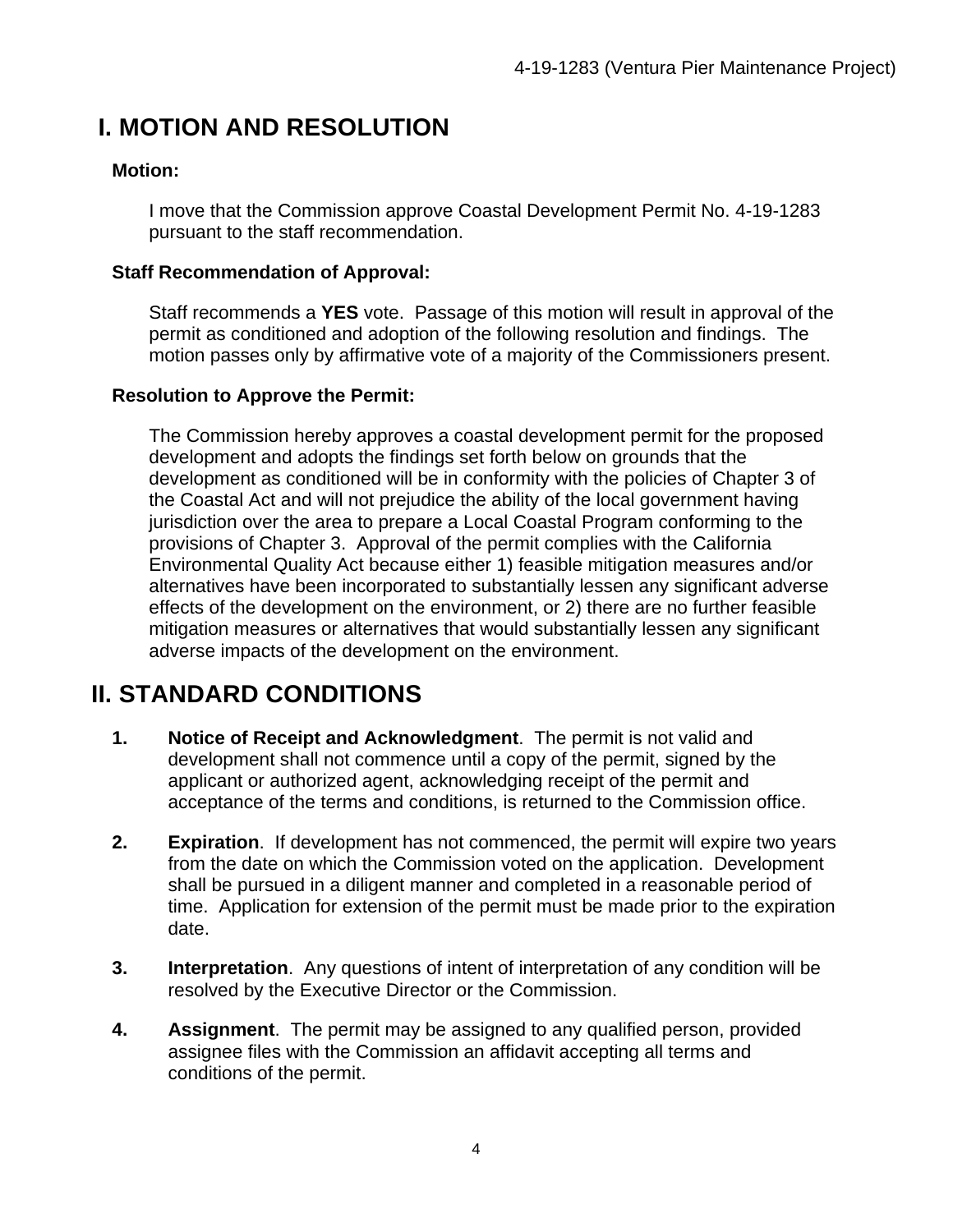# **I. MOTION AND RESOLUTION**

#### **Motion:**

I move that the Commission approve Coastal Development Permit No. 4-19-1283 pursuant to the staff recommendation.

#### **Staff Recommendation of Approval:**

Staff recommends a **YES** vote. Passage of this motion will result in approval of the permit as conditioned and adoption of the following resolution and findings. The motion passes only by affirmative vote of a majority of the Commissioners present.

#### **Resolution to Approve the Permit:**

The Commission hereby approves a coastal development permit for the proposed development and adopts the findings set forth below on grounds that the development as conditioned will be in conformity with the policies of Chapter 3 of the Coastal Act and will not prejudice the ability of the local government having jurisdiction over the area to prepare a Local Coastal Program conforming to the provisions of Chapter 3. Approval of the permit complies with the California Environmental Quality Act because either 1) feasible mitigation measures and/or alternatives have been incorporated to substantially lessen any significant adverse effects of the development on the environment, or 2) there are no further feasible mitigation measures or alternatives that would substantially lessen any significant adverse impacts of the development on the environment.

# **II. STANDARD CONDITIONS**

- **1. Notice of Receipt and Acknowledgment**. The permit is not valid and development shall not commence until a copy of the permit, signed by the applicant or authorized agent, acknowledging receipt of the permit and acceptance of the terms and conditions, is returned to the Commission office.
- **2. Expiration**. If development has not commenced, the permit will expire two years from the date on which the Commission voted on the application. Development shall be pursued in a diligent manner and completed in a reasonable period of time. Application for extension of the permit must be made prior to the expiration date.
- **3. Interpretation**. Any questions of intent of interpretation of any condition will be resolved by the Executive Director or the Commission.
- **4. Assignment**. The permit may be assigned to any qualified person, provided assignee files with the Commission an affidavit accepting all terms and conditions of the permit.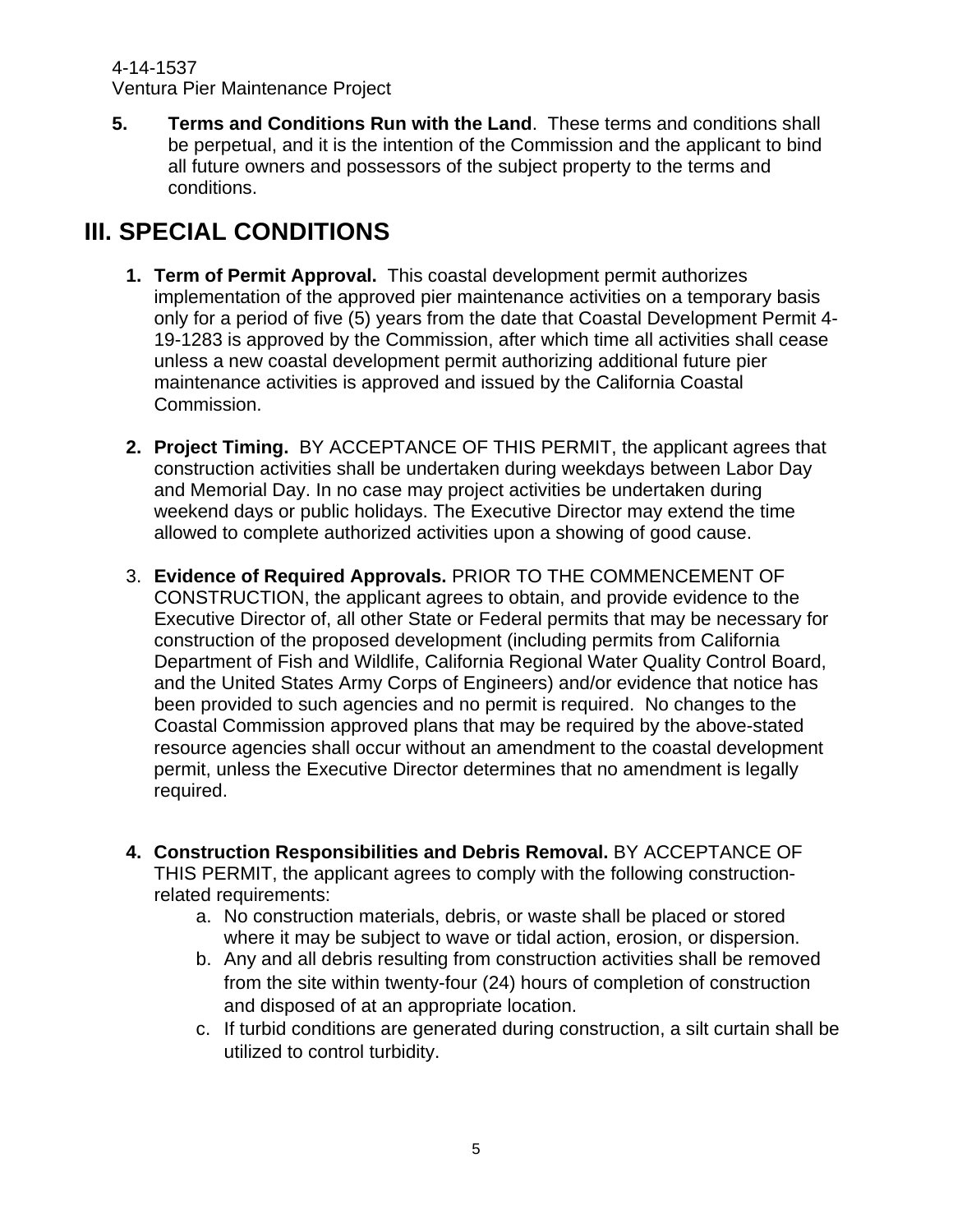4-14-1537 Ventura Pier Maintenance Project

**5. Terms and Conditions Run with the Land**. These terms and conditions shall be perpetual, and it is the intention of the Commission and the applicant to bind all future owners and possessors of the subject property to the terms and conditions.

# **III. SPECIAL CONDITIONS**

- **1. Term of Permit Approval.** This coastal development permit authorizes implementation of the approved pier maintenance activities on a temporary basis only for a period of five (5) years from the date that Coastal Development Permit 4- 19-1283 is approved by the Commission, after which time all activities shall cease unless a new coastal development permit authorizing additional future pier maintenance activities is approved and issued by the California Coastal Commission.
- **2. Project Timing.** BY ACCEPTANCE OF THIS PERMIT, the applicant agrees that construction activities shall be undertaken during weekdays between Labor Day and Memorial Day. In no case may project activities be undertaken during weekend days or public holidays. The Executive Director may extend the time allowed to complete authorized activities upon a showing of good cause.
- 3. **Evidence of Required Approvals.** PRIOR TO THE COMMENCEMENT OF CONSTRUCTION, the applicant agrees to obtain, and provide evidence to the Executive Director of, all other State or Federal permits that may be necessary for construction of the proposed development (including permits from California Department of Fish and Wildlife, California Regional Water Quality Control Board, and the United States Army Corps of Engineers) and/or evidence that notice has been provided to such agencies and no permit is required. No changes to the Coastal Commission approved plans that may be required by the above-stated resource agencies shall occur without an amendment to the coastal development permit, unless the Executive Director determines that no amendment is legally required.
- **4. Construction Responsibilities and Debris Removal.** BY ACCEPTANCE OF THIS PERMIT, the applicant agrees to comply with the following constructionrelated requirements:
	- a. No construction materials, debris, or waste shall be placed or stored where it may be subject to wave or tidal action, erosion, or dispersion.
	- b. Any and all debris resulting from construction activities shall be removed from the site within twenty-four (24) hours of completion of construction and disposed of at an appropriate location.
	- c. If turbid conditions are generated during construction, a silt curtain shall be utilized to control turbidity.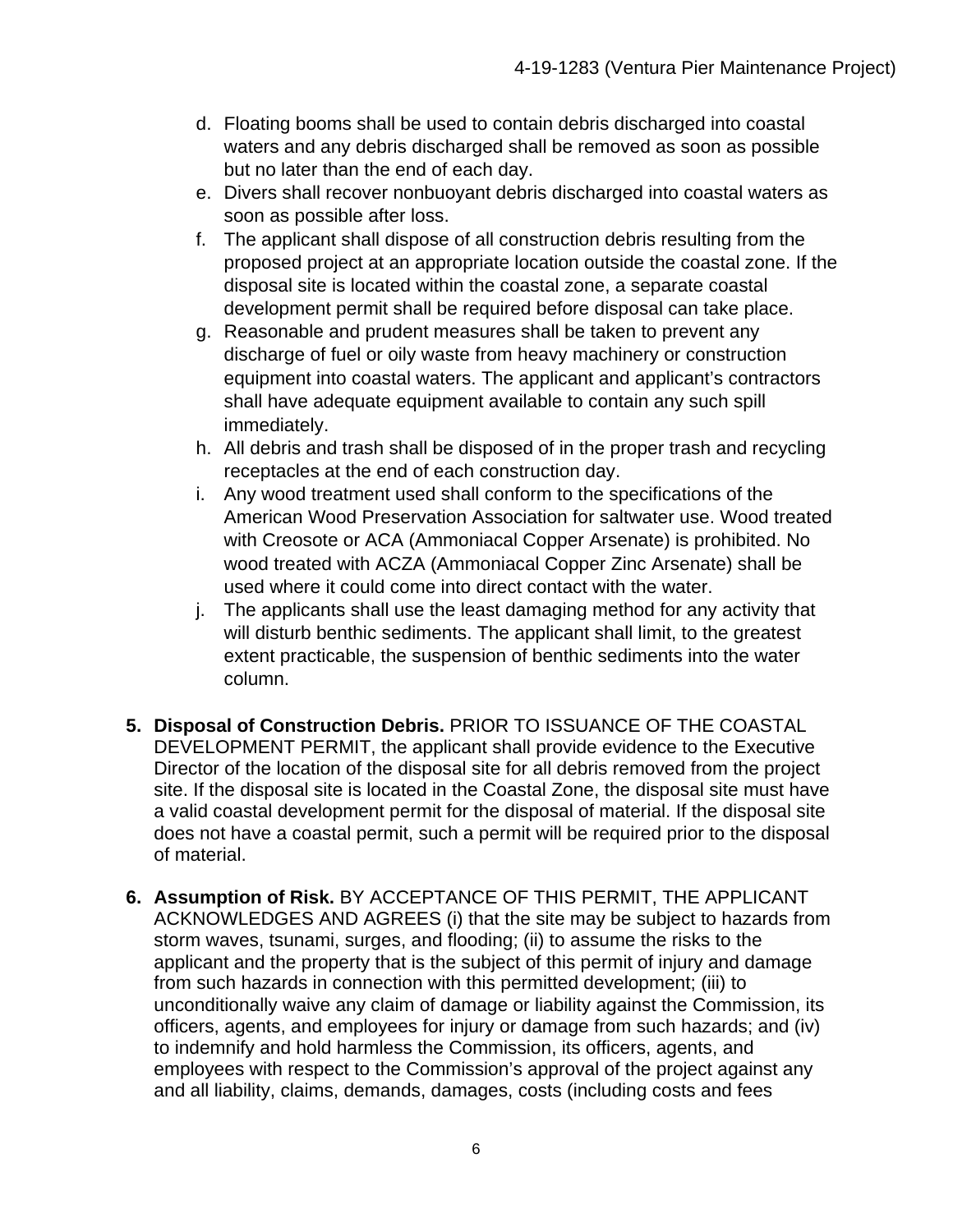- d. Floating booms shall be used to contain debris discharged into coastal waters and any debris discharged shall be removed as soon as possible but no later than the end of each day.
- e. Divers shall recover nonbuoyant debris discharged into coastal waters as soon as possible after loss.
- f. The applicant shall dispose of all construction debris resulting from the proposed project at an appropriate location outside the coastal zone. If the disposal site is located within the coastal zone, a separate coastal development permit shall be required before disposal can take place.
- g. Reasonable and prudent measures shall be taken to prevent any discharge of fuel or oily waste from heavy machinery or construction equipment into coastal waters. The applicant and applicant's contractors shall have adequate equipment available to contain any such spill immediately.
- h. All debris and trash shall be disposed of in the proper trash and recycling receptacles at the end of each construction day.
- i. Any wood treatment used shall conform to the specifications of the American Wood Preservation Association for saltwater use. Wood treated with Creosote or ACA (Ammoniacal Copper Arsenate) is prohibited. No wood treated with ACZA (Ammoniacal Copper Zinc Arsenate) shall be used where it could come into direct contact with the water.
- j. The applicants shall use the least damaging method for any activity that will disturb benthic sediments. The applicant shall limit, to the greatest extent practicable, the suspension of benthic sediments into the water column.
- **5. Disposal of Construction Debris.** PRIOR TO ISSUANCE OF THE COASTAL DEVELOPMENT PERMIT, the applicant shall provide evidence to the Executive Director of the location of the disposal site for all debris removed from the project site. If the disposal site is located in the Coastal Zone, the disposal site must have a valid coastal development permit for the disposal of material. If the disposal site does not have a coastal permit, such a permit will be required prior to the disposal of material.
- **6. Assumption of Risk.** BY ACCEPTANCE OF THIS PERMIT, THE APPLICANT ACKNOWLEDGES AND AGREES (i) that the site may be subject to hazards from storm waves, tsunami, surges, and flooding; (ii) to assume the risks to the applicant and the property that is the subject of this permit of injury and damage from such hazards in connection with this permitted development; (iii) to unconditionally waive any claim of damage or liability against the Commission, its officers, agents, and employees for injury or damage from such hazards; and (iv) to indemnify and hold harmless the Commission, its officers, agents, and employees with respect to the Commission's approval of the project against any and all liability, claims, demands, damages, costs (including costs and fees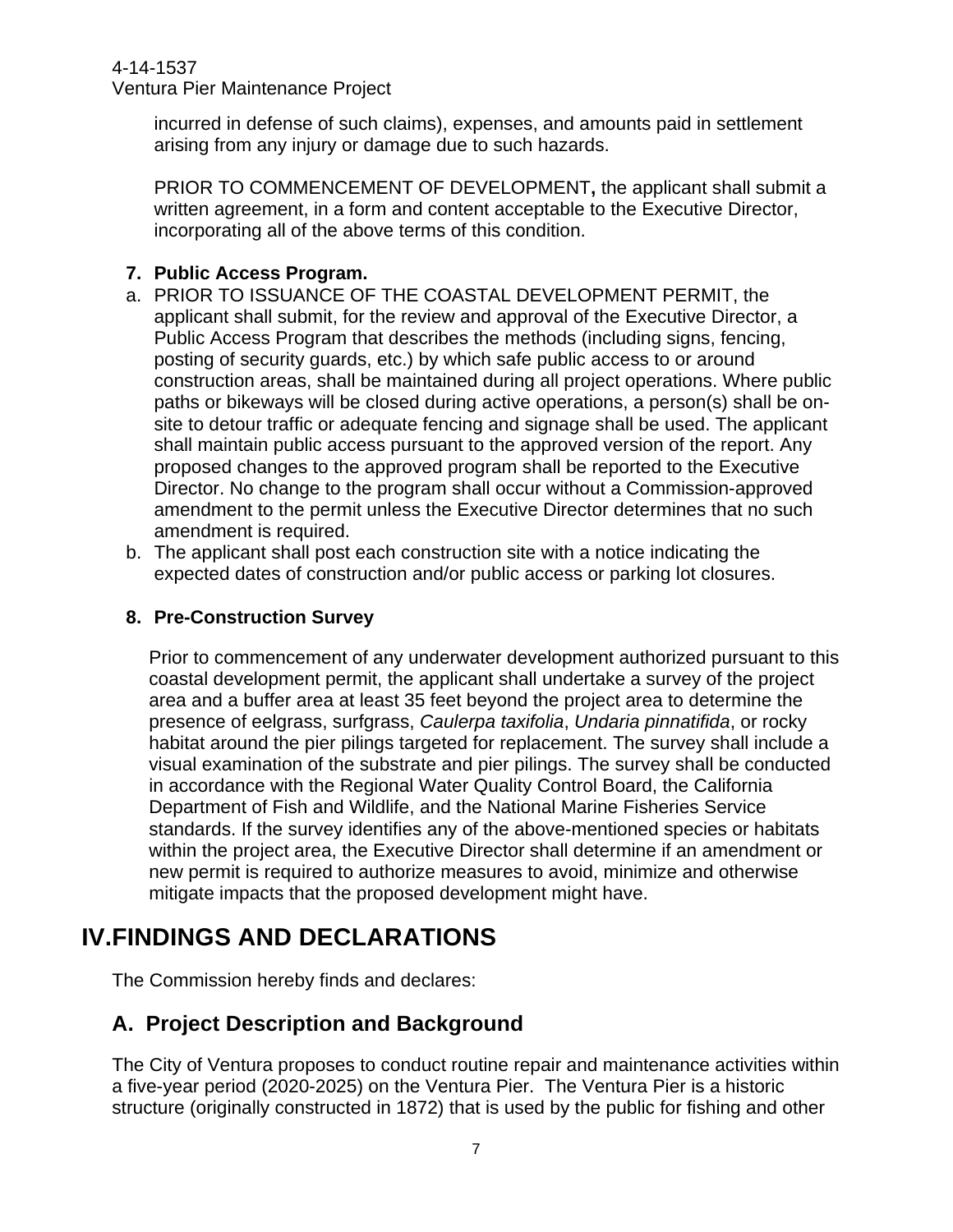Ventura Pier Maintenance Project

incurred in defense of such claims), expenses, and amounts paid in settlement arising from any injury or damage due to such hazards.

PRIOR TO COMMENCEMENT OF DEVELOPMENT**,** the applicant shall submit a written agreement, in a form and content acceptable to the Executive Director, incorporating all of the above terms of this condition.

#### **7. Public Access Program.**

- a. PRIOR TO ISSUANCE OF THE COASTAL DEVELOPMENT PERMIT, the applicant shall submit, for the review and approval of the Executive Director, a Public Access Program that describes the methods (including signs, fencing, posting of security guards, etc.) by which safe public access to or around construction areas, shall be maintained during all project operations. Where public paths or bikeways will be closed during active operations, a person(s) shall be onsite to detour traffic or adequate fencing and signage shall be used. The applicant shall maintain public access pursuant to the approved version of the report. Any proposed changes to the approved program shall be reported to the Executive Director. No change to the program shall occur without a Commission-approved amendment to the permit unless the Executive Director determines that no such amendment is required.
- b. The applicant shall post each construction site with a notice indicating the expected dates of construction and/or public access or parking lot closures.

#### **8. Pre-Construction Survey**

Prior to commencement of any underwater development authorized pursuant to this coastal development permit, the applicant shall undertake a survey of the project area and a buffer area at least 35 feet beyond the project area to determine the presence of eelgrass, surfgrass, *Caulerpa taxifolia*, *Undaria pinnatifida*, or rocky habitat around the pier pilings targeted for replacement. The survey shall include a visual examination of the substrate and pier pilings. The survey shall be conducted in accordance with the Regional Water Quality Control Board, the California Department of Fish and Wildlife, and the National Marine Fisheries Service standards. If the survey identifies any of the above-mentioned species or habitats within the project area, the Executive Director shall determine if an amendment or new permit is required to authorize measures to avoid, minimize and otherwise mitigate impacts that the proposed development might have.

# **IV.FINDINGS AND DECLARATIONS**

The Commission hereby finds and declares:

## **A. Project Description and Background**

The City of Ventura proposes to conduct routine repair and maintenance activities within a five-year period (2020-2025) on the Ventura Pier. The Ventura Pier is a historic structure (originally constructed in 1872) that is used by the public for fishing and other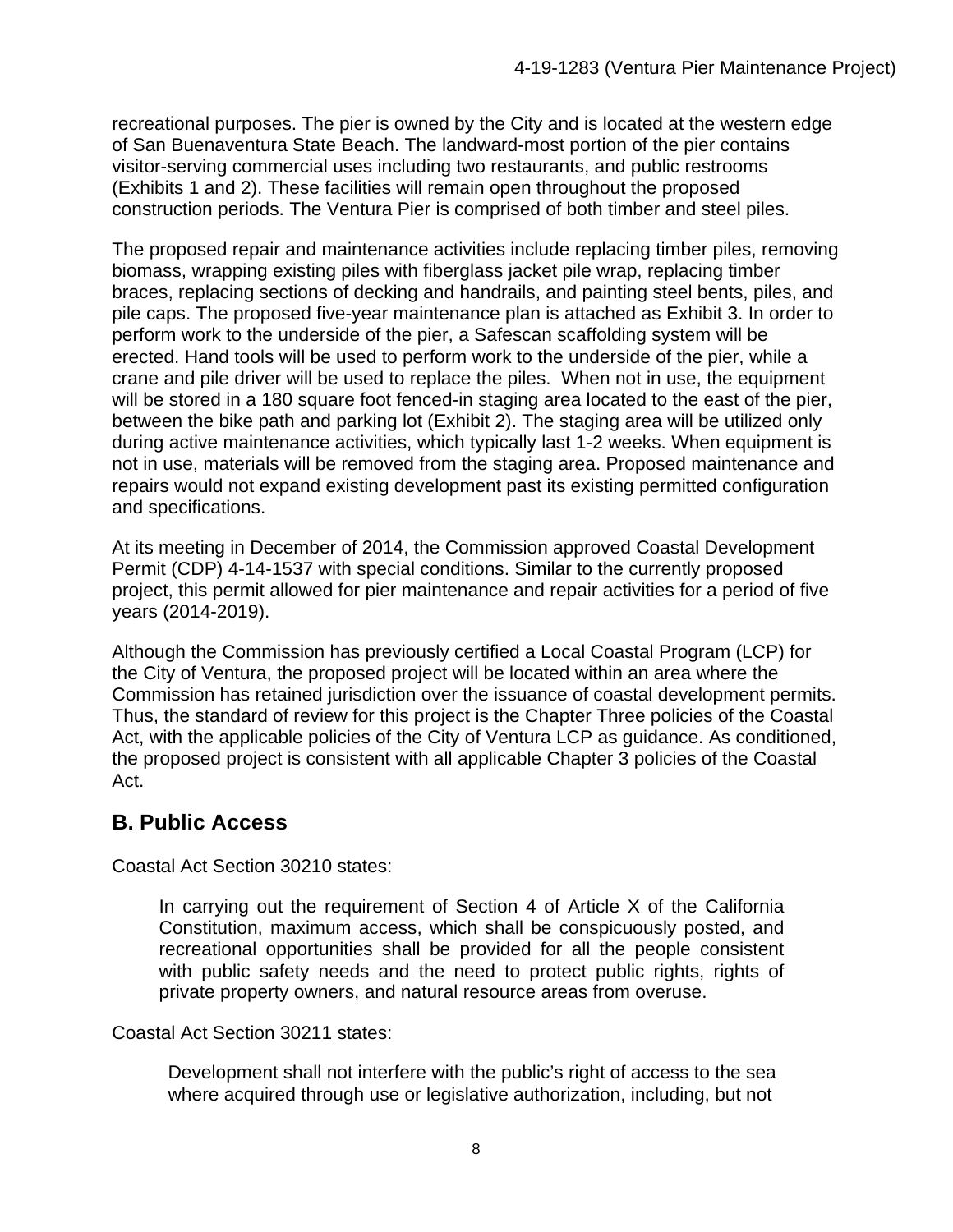recreational purposes. The pier is owned by the City and is located at the western edge of San Buenaventura State Beach. The landward-most portion of the pier contains visitor-serving commercial uses including two restaurants, and public restrooms (Exhibits 1 and 2). These facilities will remain open throughout the proposed construction periods. The Ventura Pier is comprised of both timber and steel piles.

The proposed repair and maintenance activities include replacing timber piles, removing biomass, wrapping existing piles with fiberglass jacket pile wrap, replacing timber braces, replacing sections of decking and handrails, and painting steel bents, piles, and pile caps. The proposed five-year maintenance plan is attached as Exhibit 3. In order to perform work to the underside of the pier, a Safescan scaffolding system will be erected. Hand tools will be used to perform work to the underside of the pier, while a crane and pile driver will be used to replace the piles. When not in use, the equipment will be stored in a 180 square foot fenced-in staging area located to the east of the pier, between the bike path and parking lot (Exhibit 2). The staging area will be utilized only during active maintenance activities, which typically last 1-2 weeks. When equipment is not in use, materials will be removed from the staging area. Proposed maintenance and repairs would not expand existing development past its existing permitted configuration and specifications.

At its meeting in December of 2014, the Commission approved Coastal Development Permit (CDP) 4-14-1537 with special conditions. Similar to the currently proposed project, this permit allowed for pier maintenance and repair activities for a period of five years (2014-2019).

Although the Commission has previously certified a Local Coastal Program (LCP) for the City of Ventura, the proposed project will be located within an area where the Commission has retained jurisdiction over the issuance of coastal development permits. Thus, the standard of review for this project is the Chapter Three policies of the Coastal Act, with the applicable policies of the City of Ventura LCP as guidance. As conditioned, the proposed project is consistent with all applicable Chapter 3 policies of the Coastal Act.

## **B. Public Access**

Coastal Act Section 30210 states:

In carrying out the requirement of Section 4 of Article X of the California Constitution, maximum access, which shall be conspicuously posted, and recreational opportunities shall be provided for all the people consistent with public safety needs and the need to protect public rights, rights of private property owners, and natural resource areas from overuse.

Coastal Act Section 30211 states:

Development shall not interfere with the public's right of access to the sea where acquired through use or legislative authorization, including, but not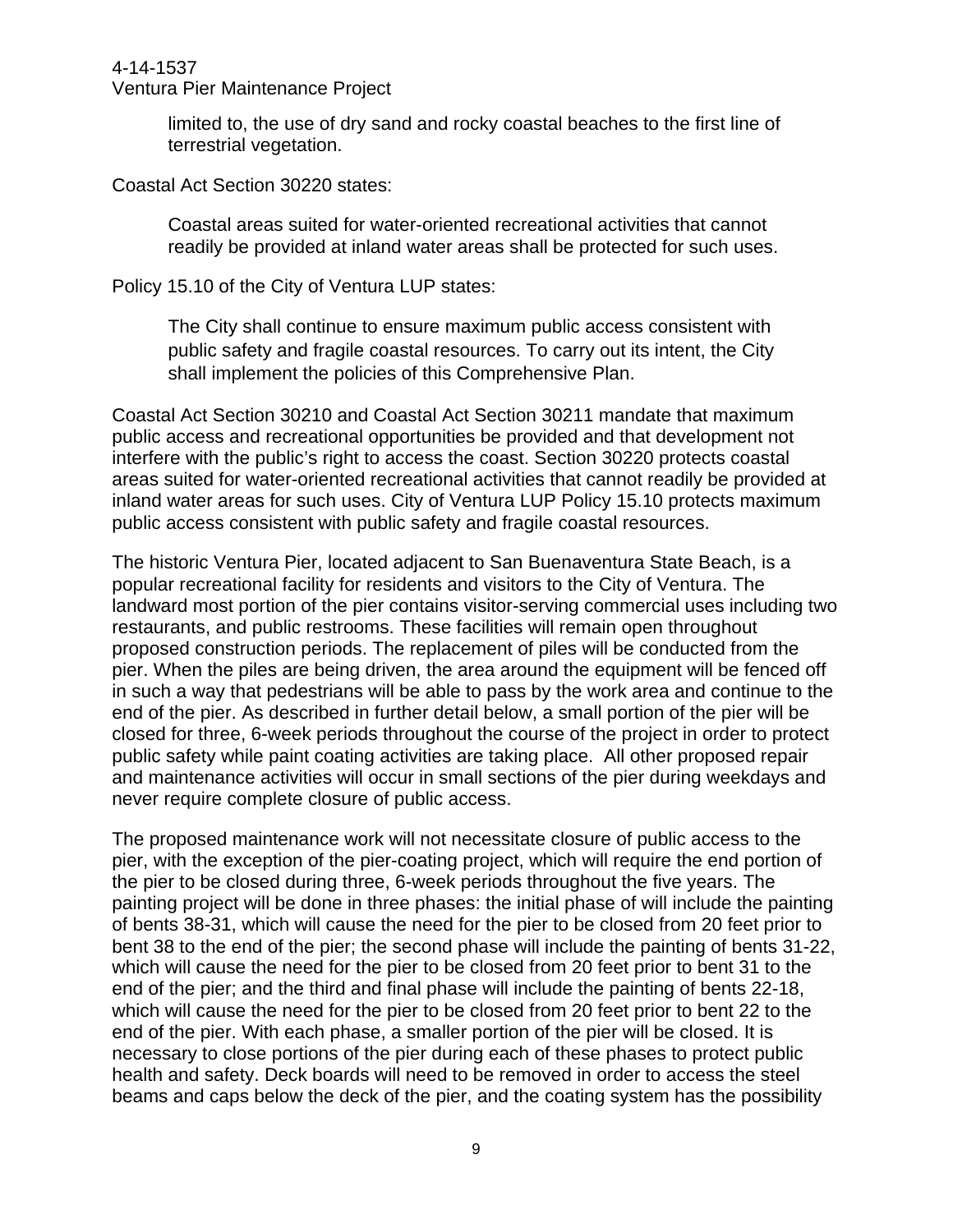Ventura Pier Maintenance Project

limited to, the use of dry sand and rocky coastal beaches to the first line of terrestrial vegetation.

Coastal Act Section 30220 states:

Coastal areas suited for water-oriented recreational activities that cannot readily be provided at inland water areas shall be protected for such uses.

Policy 15.10 of the City of Ventura LUP states:

The City shall continue to ensure maximum public access consistent with public safety and fragile coastal resources. To carry out its intent, the City shall implement the policies of this Comprehensive Plan.

Coastal Act Section 30210 and Coastal Act Section 30211 mandate that maximum public access and recreational opportunities be provided and that development not interfere with the public's right to access the coast. Section 30220 protects coastal areas suited for water-oriented recreational activities that cannot readily be provided at inland water areas for such uses. City of Ventura LUP Policy 15.10 protects maximum public access consistent with public safety and fragile coastal resources.

The historic Ventura Pier, located adjacent to San Buenaventura State Beach, is a popular recreational facility for residents and visitors to the City of Ventura. The landward most portion of the pier contains visitor-serving commercial uses including two restaurants, and public restrooms. These facilities will remain open throughout proposed construction periods. The replacement of piles will be conducted from the pier. When the piles are being driven, the area around the equipment will be fenced off in such a way that pedestrians will be able to pass by the work area and continue to the end of the pier. As described in further detail below, a small portion of the pier will be closed for three, 6-week periods throughout the course of the project in order to protect public safety while paint coating activities are taking place. All other proposed repair and maintenance activities will occur in small sections of the pier during weekdays and never require complete closure of public access.

The proposed maintenance work will not necessitate closure of public access to the pier, with the exception of the pier-coating project, which will require the end portion of the pier to be closed during three, 6-week periods throughout the five years. The painting project will be done in three phases: the initial phase of will include the painting of bents 38-31, which will cause the need for the pier to be closed from 20 feet prior to bent 38 to the end of the pier; the second phase will include the painting of bents 31-22, which will cause the need for the pier to be closed from 20 feet prior to bent 31 to the end of the pier; and the third and final phase will include the painting of bents 22-18, which will cause the need for the pier to be closed from 20 feet prior to bent 22 to the end of the pier. With each phase, a smaller portion of the pier will be closed. It is necessary to close portions of the pier during each of these phases to protect public health and safety. Deck boards will need to be removed in order to access the steel beams and caps below the deck of the pier, and the coating system has the possibility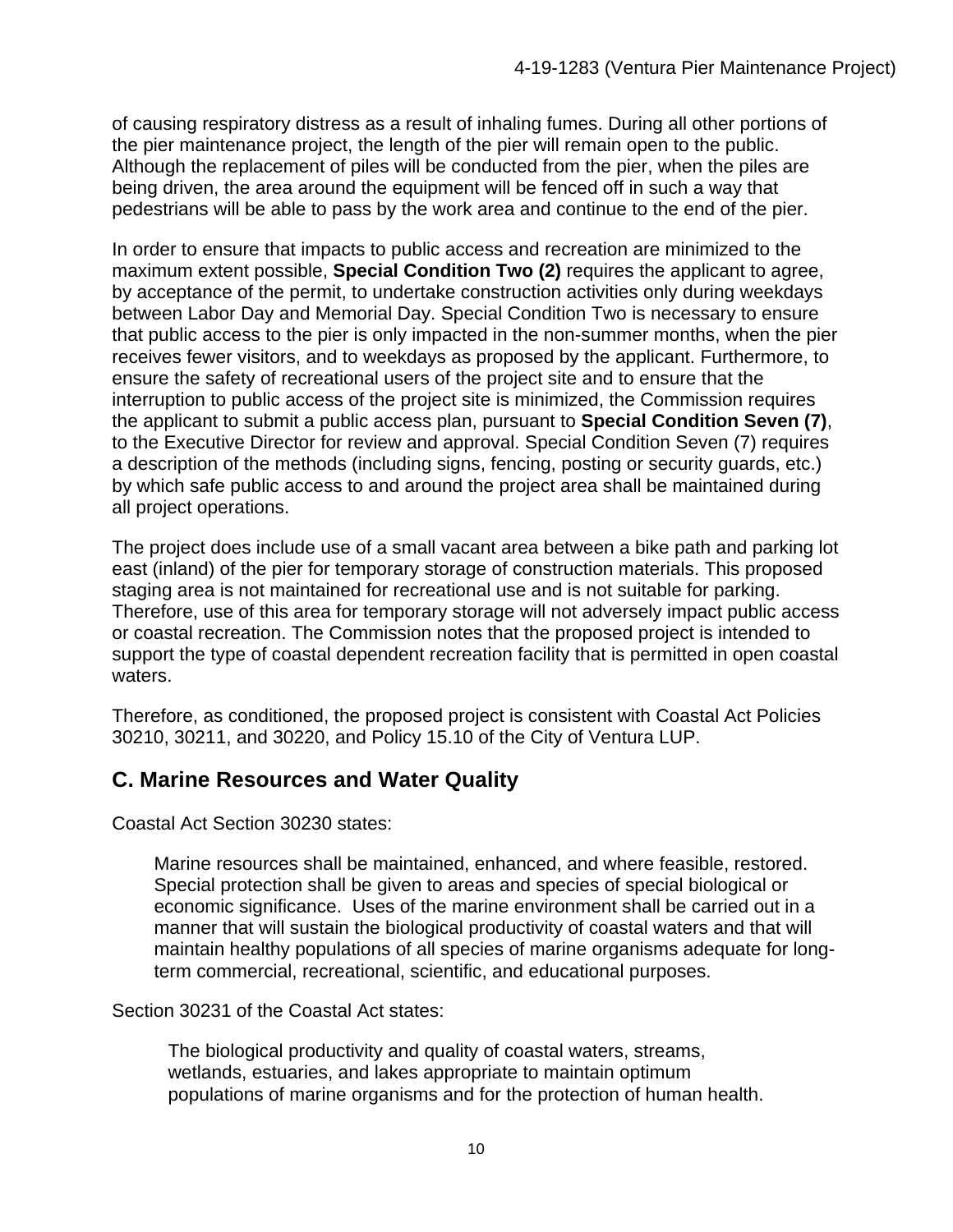of causing respiratory distress as a result of inhaling fumes. During all other portions of the pier maintenance project, the length of the pier will remain open to the public. Although the replacement of piles will be conducted from the pier, when the piles are being driven, the area around the equipment will be fenced off in such a way that pedestrians will be able to pass by the work area and continue to the end of the pier.

In order to ensure that impacts to public access and recreation are minimized to the maximum extent possible, **Special Condition Two (2)** requires the applicant to agree, by acceptance of the permit, to undertake construction activities only during weekdays between Labor Day and Memorial Day. Special Condition Two is necessary to ensure that public access to the pier is only impacted in the non-summer months, when the pier receives fewer visitors, and to weekdays as proposed by the applicant. Furthermore, to ensure the safety of recreational users of the project site and to ensure that the interruption to public access of the project site is minimized, the Commission requires the applicant to submit a public access plan, pursuant to **Special Condition Seven (7)**, to the Executive Director for review and approval. Special Condition Seven (7) requires a description of the methods (including signs, fencing, posting or security guards, etc.) by which safe public access to and around the project area shall be maintained during all project operations.

The project does include use of a small vacant area between a bike path and parking lot east (inland) of the pier for temporary storage of construction materials. This proposed staging area is not maintained for recreational use and is not suitable for parking. Therefore, use of this area for temporary storage will not adversely impact public access or coastal recreation. The Commission notes that the proposed project is intended to support the type of coastal dependent recreation facility that is permitted in open coastal waters.

Therefore, as conditioned, the proposed project is consistent with Coastal Act Policies 30210, 30211, and 30220, and Policy 15.10 of the City of Ventura LUP.

#### **C. Marine Resources and Water Quality**

Coastal Act Section 30230 states:

Marine resources shall be maintained, enhanced, and where feasible, restored. Special protection shall be given to areas and species of special biological or economic significance. Uses of the marine environment shall be carried out in a manner that will sustain the biological productivity of coastal waters and that will maintain healthy populations of all species of marine organisms adequate for longterm commercial, recreational, scientific, and educational purposes.

Section 30231 of the Coastal Act states:

The biological productivity and quality of coastal waters, streams, wetlands, estuaries, and lakes appropriate to maintain optimum populations of marine organisms and for the protection of human health.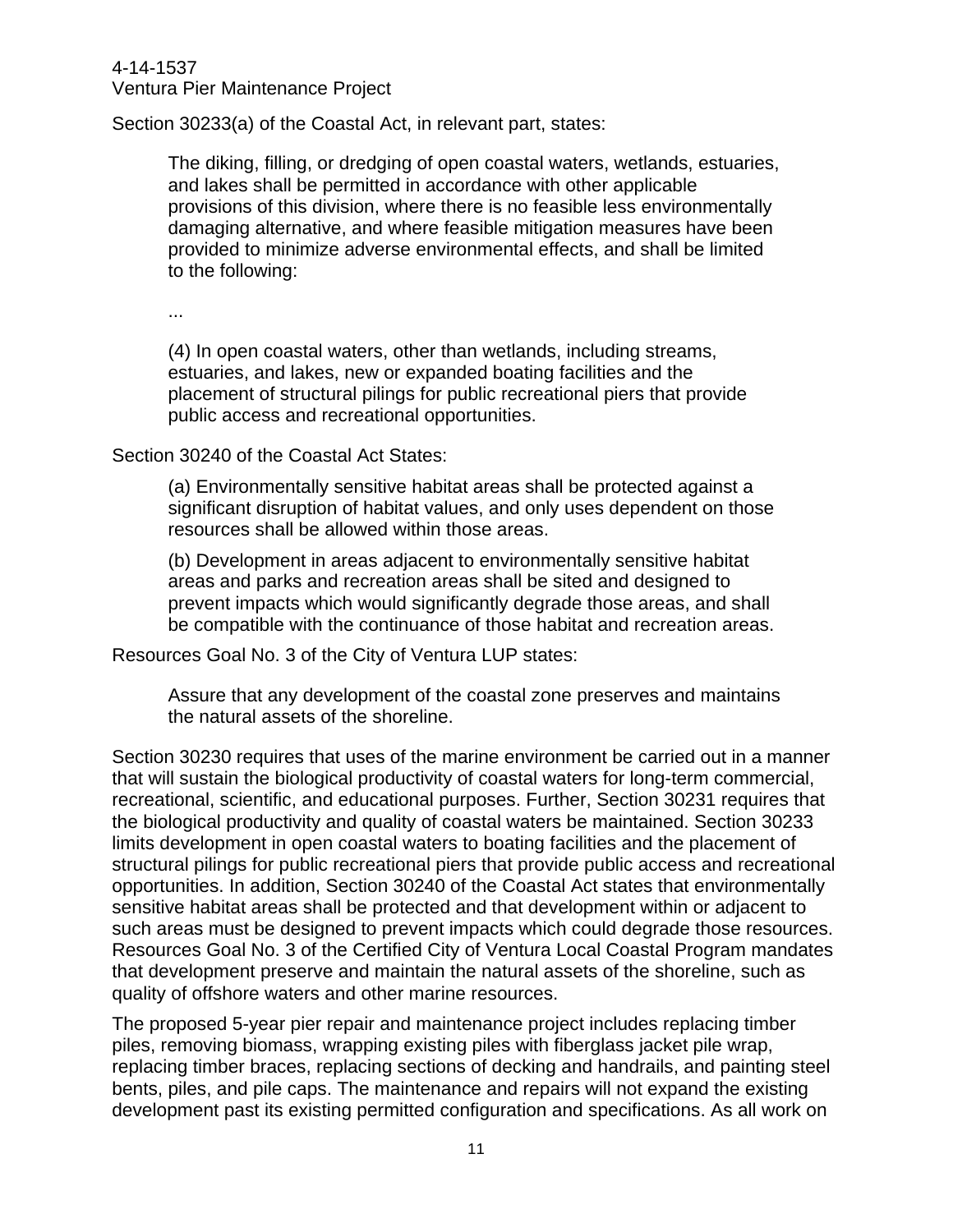4-14-1537 Ventura Pier Maintenance Project

Section 30233(a) of the Coastal Act, in relevant part, states:

The diking, filling, or dredging of open coastal waters, wetlands, estuaries, and lakes shall be permitted in accordance with other applicable provisions of this division, where there is no feasible less environmentally damaging alternative, and where feasible mitigation measures have been provided to minimize adverse environmental effects, and shall be limited to the following:

...

(4) In open coastal waters, other than wetlands, including streams, estuaries, and lakes, new or expanded boating facilities and the placement of structural pilings for public recreational piers that provide public access and recreational opportunities.

#### Section 30240 of the Coastal Act States:

(a) Environmentally sensitive habitat areas shall be protected against a significant disruption of habitat values, and only uses dependent on those resources shall be allowed within those areas.

(b) Development in areas adjacent to environmentally sensitive habitat areas and parks and recreation areas shall be sited and designed to prevent impacts which would significantly degrade those areas, and shall be compatible with the continuance of those habitat and recreation areas.

Resources Goal No. 3 of the City of Ventura LUP states:

Assure that any development of the coastal zone preserves and maintains the natural assets of the shoreline.

Section 30230 requires that uses of the marine environment be carried out in a manner that will sustain the biological productivity of coastal waters for long-term commercial, recreational, scientific, and educational purposes. Further, Section 30231 requires that the biological productivity and quality of coastal waters be maintained. Section 30233 limits development in open coastal waters to boating facilities and the placement of structural pilings for public recreational piers that provide public access and recreational opportunities. In addition, Section 30240 of the Coastal Act states that environmentally sensitive habitat areas shall be protected and that development within or adjacent to such areas must be designed to prevent impacts which could degrade those resources. Resources Goal No. 3 of the Certified City of Ventura Local Coastal Program mandates that development preserve and maintain the natural assets of the shoreline, such as quality of offshore waters and other marine resources.

The proposed 5-year pier repair and maintenance project includes replacing timber piles, removing biomass, wrapping existing piles with fiberglass jacket pile wrap, replacing timber braces, replacing sections of decking and handrails, and painting steel bents, piles, and pile caps. The maintenance and repairs will not expand the existing development past its existing permitted configuration and specifications. As all work on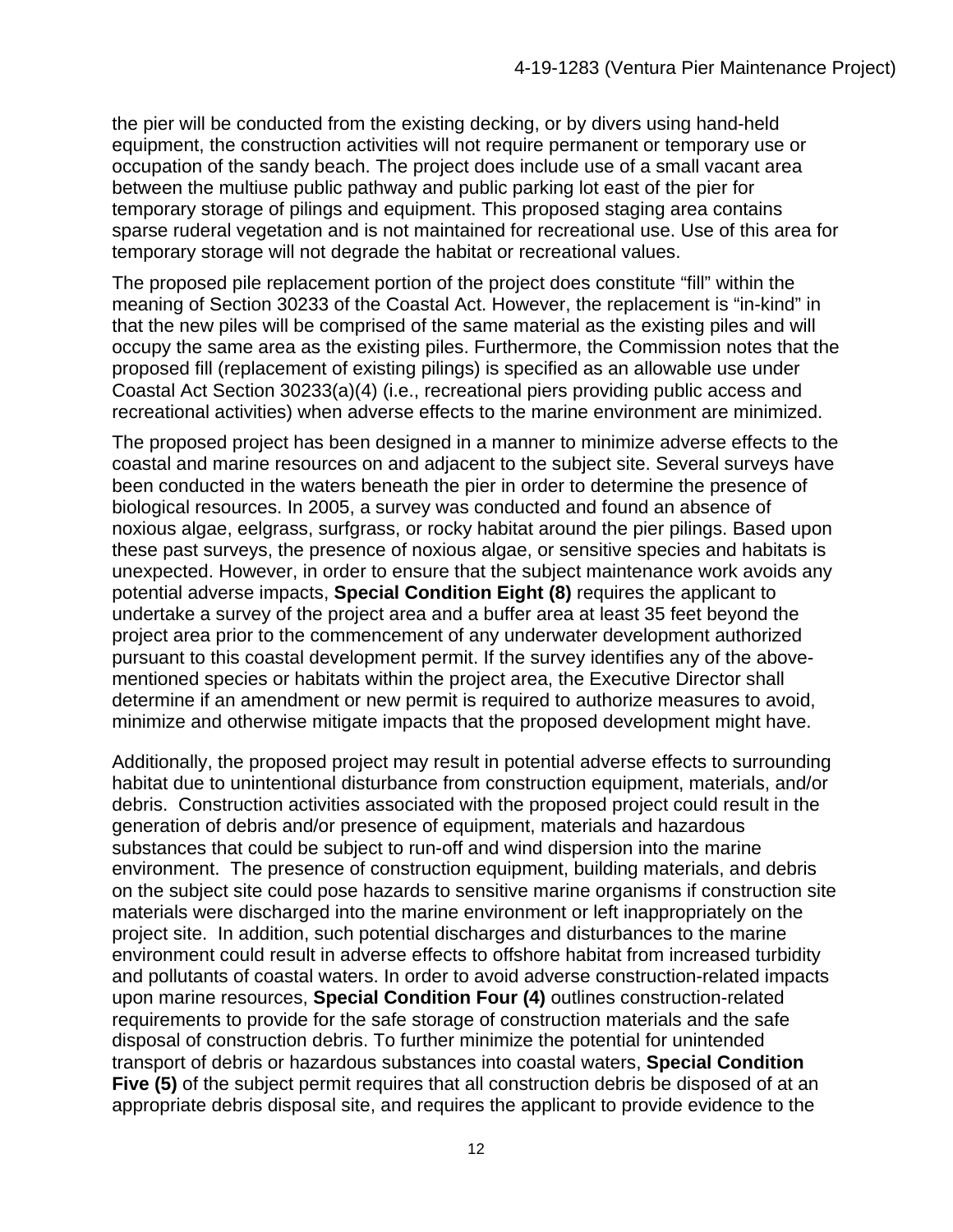the pier will be conducted from the existing decking, or by divers using hand-held equipment, the construction activities will not require permanent or temporary use or occupation of the sandy beach. The project does include use of a small vacant area between the multiuse public pathway and public parking lot east of the pier for temporary storage of pilings and equipment. This proposed staging area contains sparse ruderal vegetation and is not maintained for recreational use. Use of this area for temporary storage will not degrade the habitat or recreational values.

The proposed pile replacement portion of the project does constitute "fill" within the meaning of Section 30233 of the Coastal Act. However, the replacement is "in-kind" in that the new piles will be comprised of the same material as the existing piles and will occupy the same area as the existing piles. Furthermore, the Commission notes that the proposed fill (replacement of existing pilings) is specified as an allowable use under Coastal Act Section 30233(a)(4) (i.e., recreational piers providing public access and recreational activities) when adverse effects to the marine environment are minimized.

The proposed project has been designed in a manner to minimize adverse effects to the coastal and marine resources on and adjacent to the subject site. Several surveys have been conducted in the waters beneath the pier in order to determine the presence of biological resources. In 2005, a survey was conducted and found an absence of noxious algae, eelgrass, surfgrass, or rocky habitat around the pier pilings. Based upon these past surveys, the presence of noxious algae, or sensitive species and habitats is unexpected. However, in order to ensure that the subject maintenance work avoids any potential adverse impacts, **Special Condition Eight (8)** requires the applicant to undertake a survey of the project area and a buffer area at least 35 feet beyond the project area prior to the commencement of any underwater development authorized pursuant to this coastal development permit. If the survey identifies any of the abovementioned species or habitats within the project area, the Executive Director shall determine if an amendment or new permit is required to authorize measures to avoid, minimize and otherwise mitigate impacts that the proposed development might have.

Additionally, the proposed project may result in potential adverse effects to surrounding habitat due to unintentional disturbance from construction equipment, materials, and/or debris. Construction activities associated with the proposed project could result in the generation of debris and/or presence of equipment, materials and hazardous substances that could be subject to run-off and wind dispersion into the marine environment. The presence of construction equipment, building materials, and debris on the subject site could pose hazards to sensitive marine organisms if construction site materials were discharged into the marine environment or left inappropriately on the project site. In addition, such potential discharges and disturbances to the marine environment could result in adverse effects to offshore habitat from increased turbidity and pollutants of coastal waters. In order to avoid adverse construction-related impacts upon marine resources, **Special Condition Four (4)** outlines construction-related requirements to provide for the safe storage of construction materials and the safe disposal of construction debris. To further minimize the potential for unintended transport of debris or hazardous substances into coastal waters, **Special Condition Five (5)** of the subject permit requires that all construction debris be disposed of at an appropriate debris disposal site, and requires the applicant to provide evidence to the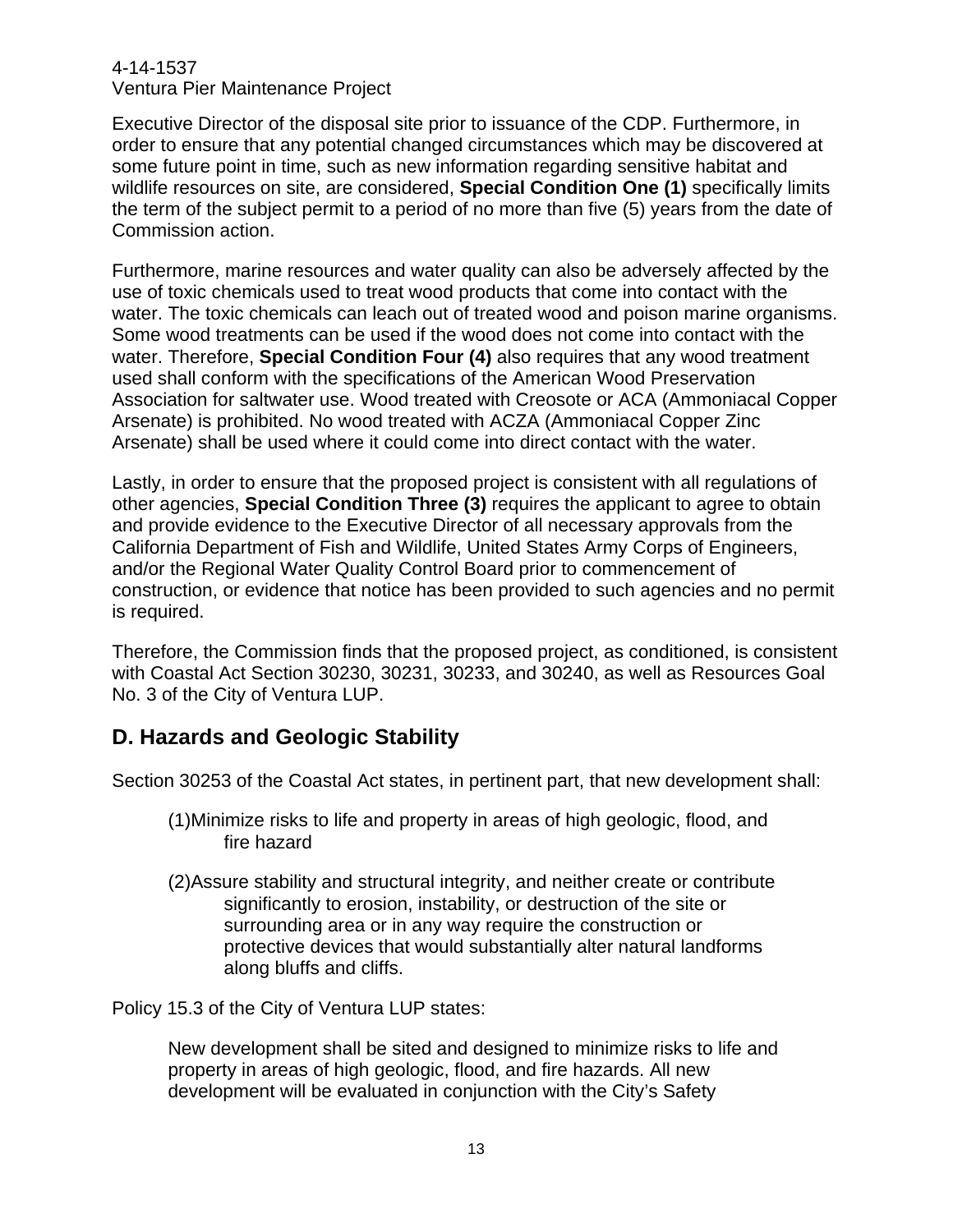Ventura Pier Maintenance Project

Executive Director of the disposal site prior to issuance of the CDP. Furthermore, in order to ensure that any potential changed circumstances which may be discovered at some future point in time, such as new information regarding sensitive habitat and wildlife resources on site, are considered, **Special Condition One (1)** specifically limits the term of the subject permit to a period of no more than five (5) years from the date of Commission action.

Furthermore, marine resources and water quality can also be adversely affected by the use of toxic chemicals used to treat wood products that come into contact with the water. The toxic chemicals can leach out of treated wood and poison marine organisms. Some wood treatments can be used if the wood does not come into contact with the water. Therefore, **Special Condition Four (4)** also requires that any wood treatment used shall conform with the specifications of the American Wood Preservation Association for saltwater use. Wood treated with Creosote or ACA (Ammoniacal Copper Arsenate) is prohibited. No wood treated with ACZA (Ammoniacal Copper Zinc Arsenate) shall be used where it could come into direct contact with the water.

Lastly, in order to ensure that the proposed project is consistent with all regulations of other agencies, **Special Condition Three (3)** requires the applicant to agree to obtain and provide evidence to the Executive Director of all necessary approvals from the California Department of Fish and Wildlife, United States Army Corps of Engineers, and/or the Regional Water Quality Control Board prior to commencement of construction, or evidence that notice has been provided to such agencies and no permit is required.

Therefore, the Commission finds that the proposed project, as conditioned, is consistent with Coastal Act Section 30230, 30231, 30233, and 30240, as well as Resources Goal No. 3 of the City of Ventura LUP.

#### **D. Hazards and Geologic Stability**

Section 30253 of the Coastal Act states, in pertinent part, that new development shall:

- (1)Minimize risks to life and property in areas of high geologic, flood, and fire hazard
- (2)Assure stability and structural integrity, and neither create or contribute significantly to erosion, instability, or destruction of the site or surrounding area or in any way require the construction or protective devices that would substantially alter natural landforms along bluffs and cliffs.

Policy 15.3 of the City of Ventura LUP states:

New development shall be sited and designed to minimize risks to life and property in areas of high geologic, flood, and fire hazards. All new development will be evaluated in conjunction with the City's Safety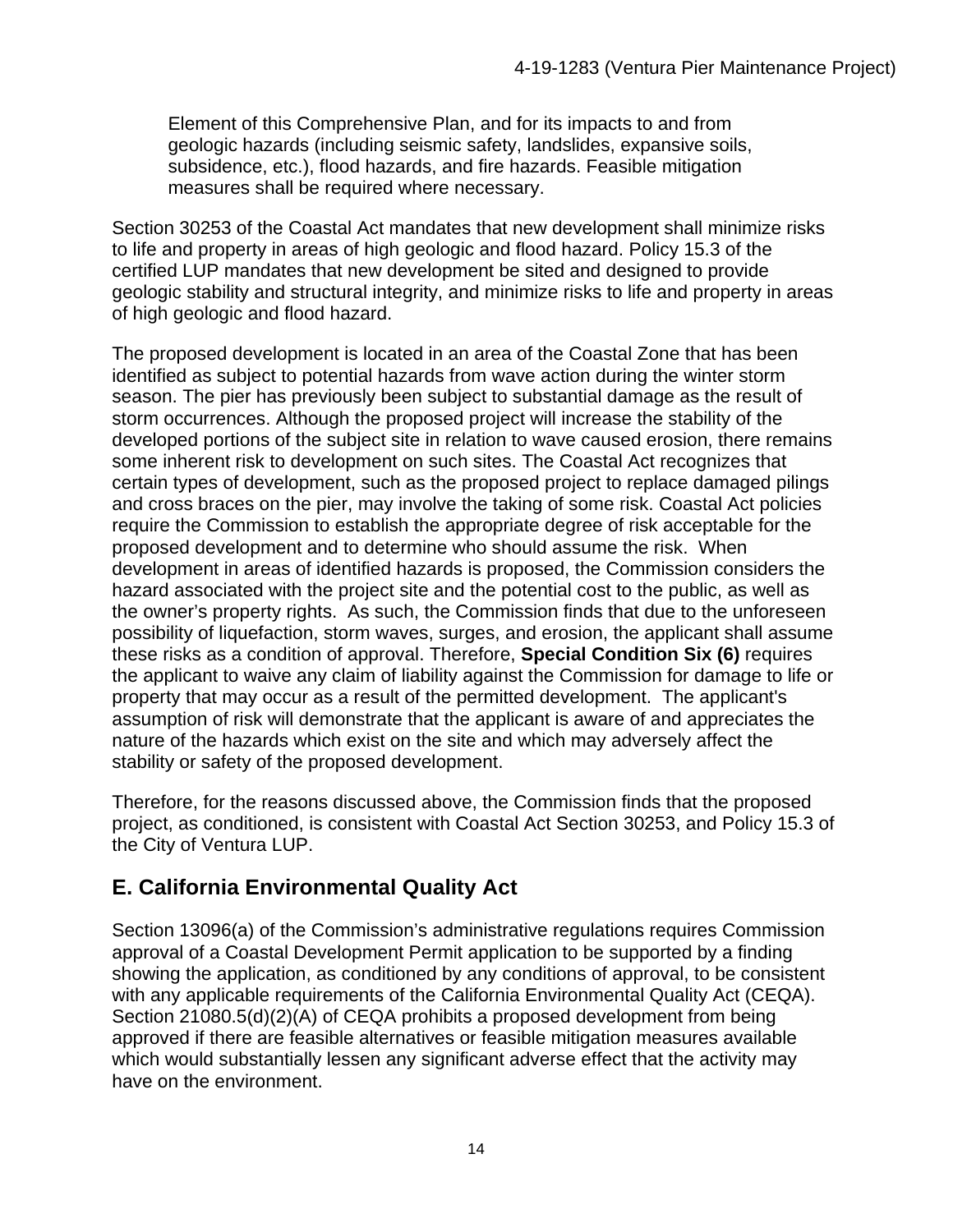Element of this Comprehensive Plan, and for its impacts to and from geologic hazards (including seismic safety, landslides, expansive soils, subsidence, etc.), flood hazards, and fire hazards. Feasible mitigation measures shall be required where necessary.

Section 30253 of the Coastal Act mandates that new development shall minimize risks to life and property in areas of high geologic and flood hazard. Policy 15.3 of the certified LUP mandates that new development be sited and designed to provide geologic stability and structural integrity, and minimize risks to life and property in areas of high geologic and flood hazard.

The proposed development is located in an area of the Coastal Zone that has been identified as subject to potential hazards from wave action during the winter storm season. The pier has previously been subject to substantial damage as the result of storm occurrences. Although the proposed project will increase the stability of the developed portions of the subject site in relation to wave caused erosion, there remains some inherent risk to development on such sites. The Coastal Act recognizes that certain types of development, such as the proposed project to replace damaged pilings and cross braces on the pier, may involve the taking of some risk. Coastal Act policies require the Commission to establish the appropriate degree of risk acceptable for the proposed development and to determine who should assume the risk. When development in areas of identified hazards is proposed, the Commission considers the hazard associated with the project site and the potential cost to the public, as well as the owner's property rights. As such, the Commission finds that due to the unforeseen possibility of liquefaction, storm waves, surges, and erosion, the applicant shall assume these risks as a condition of approval. Therefore, **Special Condition Six (6)** requires the applicant to waive any claim of liability against the Commission for damage to life or property that may occur as a result of the permitted development. The applicant's assumption of risk will demonstrate that the applicant is aware of and appreciates the nature of the hazards which exist on the site and which may adversely affect the stability or safety of the proposed development.

Therefore, for the reasons discussed above, the Commission finds that the proposed project, as conditioned, is consistent with Coastal Act Section 30253, and Policy 15.3 of the City of Ventura LUP.

## **E. California Environmental Quality Act**

Section 13096(a) of the Commission's administrative regulations requires Commission approval of a Coastal Development Permit application to be supported by a finding showing the application, as conditioned by any conditions of approval, to be consistent with any applicable requirements of the California Environmental Quality Act (CEQA). Section 21080.5(d)(2)(A) of CEQA prohibits a proposed development from being approved if there are feasible alternatives or feasible mitigation measures available which would substantially lessen any significant adverse effect that the activity may have on the environment.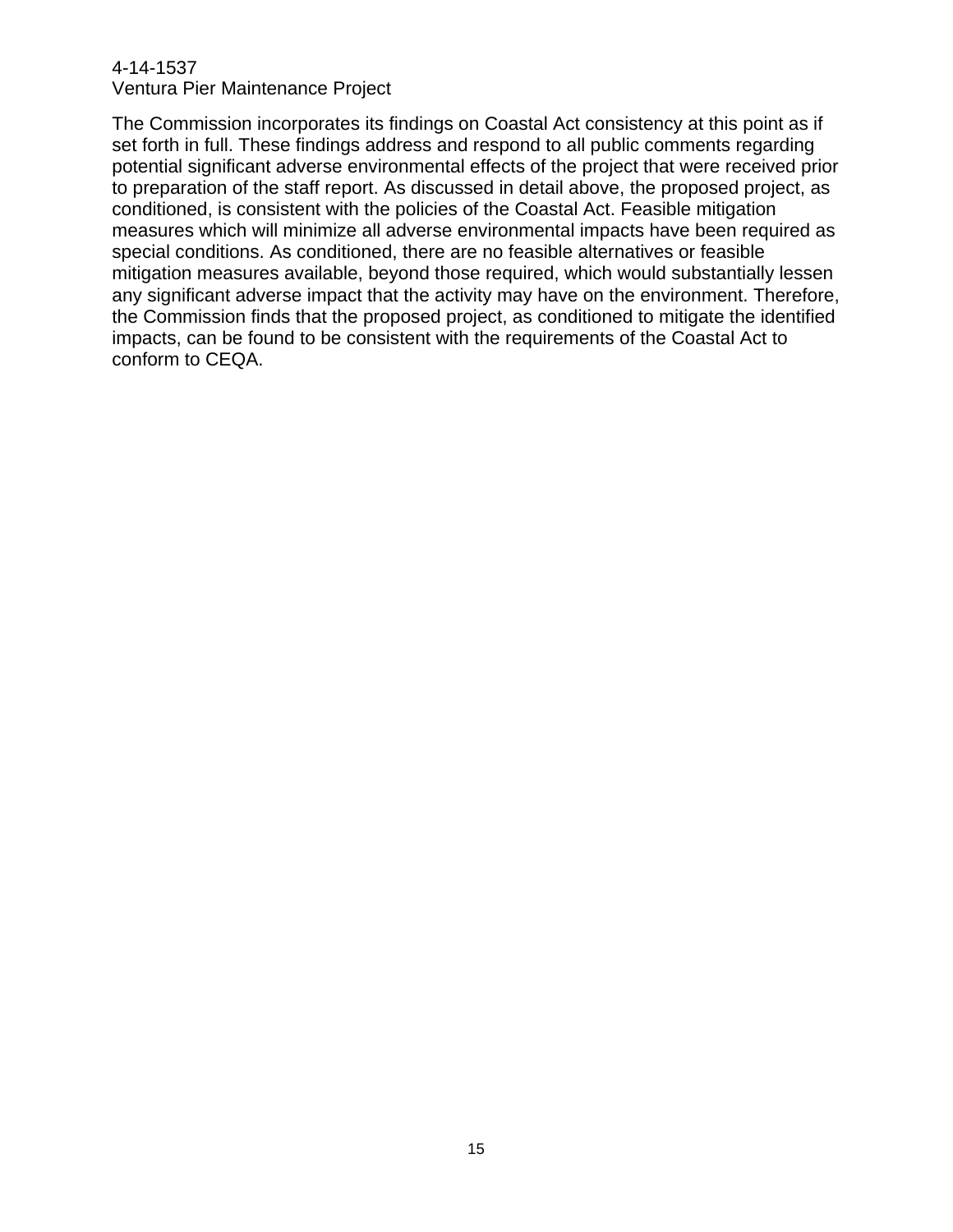Ventura Pier Maintenance Project

The Commission incorporates its findings on Coastal Act consistency at this point as if set forth in full. These findings address and respond to all public comments regarding potential significant adverse environmental effects of the project that were received prior to preparation of the staff report. As discussed in detail above, the proposed project, as conditioned, is consistent with the policies of the Coastal Act. Feasible mitigation measures which will minimize all adverse environmental impacts have been required as special conditions. As conditioned, there are no feasible alternatives or feasible mitigation measures available, beyond those required, which would substantially lessen any significant adverse impact that the activity may have on the environment. Therefore, the Commission finds that the proposed project, as conditioned to mitigate the identified impacts, can be found to be consistent with the requirements of the Coastal Act to conform to CEQA.